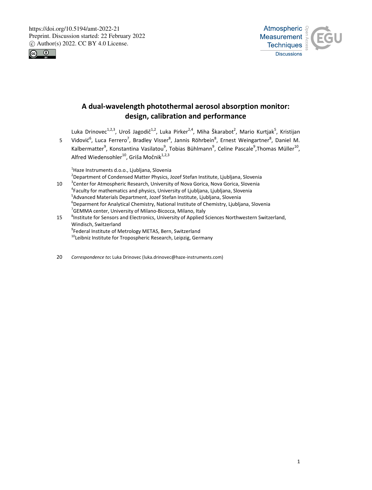



# **A dual-wavelength photothermal aerosol absorption monitor: design, calibration and performance**

Luka Drinovec<sup>1,2,3</sup>, Uroš Jagodič<sup>1,2</sup>, Luka Pirker<sup>2,4</sup>, Miha Škarabot<sup>2</sup>, Mario Kurtjak<sup>5</sup>, Kristijan

5 Vidović<sup>6</sup>, Luca Ferrero<sup>7</sup>, Bradley Visser<sup>8</sup>, Jannis Röhrbein<sup>8</sup>, Ernest Weingartner<sup>8</sup>, Daniel M. Kalbermatter<sup>9</sup>, Konstantina Vasilatou<sup>9</sup>, Tobias Bühlmann<sup>9</sup>, Celine Pascale<sup>9</sup>, Thomas Müller<sup>10</sup>, Alfred Wiedensohler<sup>10</sup>, Griša Močnik<sup>1,2,3</sup>

<sup>1</sup>Haze Instruments d.o.o., Ljubljana, Slovenia

<sup>2</sup>Department of Condensed Matter Physics, Jozef Stefan Institute, Ljubljana, Slovenia

- 10 <sup>3</sup> Center for Atmospheric Research, University of Nova Gorica, Nova Gorica, Slovenia 4 Faculty for mathematics and physics, University of Ljubljana, Ljubljana, Slovenia <sup>5</sup>Advanced Materials Department, Jozef Stefan Institute, Ljubljana, Slovenia <sup>6</sup>Deparment for Analytical Chemistry, National Institute of Chemistry, Ljubljana, Slovenia <sup>7</sup>GEMMA center, University of Milano-Bicocca, Milano, Italy
- <sup>8</sup> Institute for Sensors and Electronics, University of Applied Sciences Northwestern Switzerland, Windisch, Switzerland 9 Federal Institute of Metrology METAS, Bern, Switzerland
	- <sup>10</sup>Leibniz Institute for Tropospheric Research, Leipzig, Germany
- 20 *Correspondence to***:** Luka Drinovec (luka.drinovec@haze-instruments.com)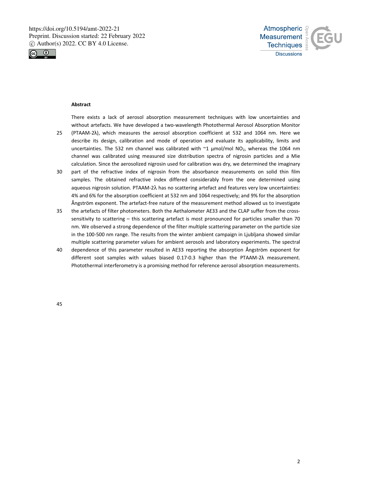



### **Abstract**

There exists a lack of aerosol absorption measurement techniques with low uncertainties and without artefacts. We have developed a two-wavelength Photothermal Aerosol Absorption Monitor 25 (PTAAM-2λ), which measures the aerosol absorption coefficient at 532 and 1064 nm. Here we describe its design, calibration and mode of operation and evaluate its applicability, limits and

- uncertainties. The 532 nm channel was calibrated with  $\textdegree{}1$  µmol/mol NO<sub>2</sub>, whereas the 1064 nm channel was calibrated using measured size distribution spectra of nigrosin particles and a Mie calculation. Since the aerosolized nigrosin used for calibration was dry, we determined the imaginary
- 30 part of the refractive index of nigrosin from the absorbance measurements on solid thin film samples. The obtained refractive index differed considerably from the one determined using aqueous nigrosin solution. PTAAM-2λ has no scattering artefact and features very low uncertainties: 4% and 6% for the absorption coefficient at 532 nm and 1064 respectively; and 9% for the absorption Ångström exponent. The artefact-free nature of the measurement method allowed us to investigate
- 35 the artefacts of filter photometers. Both the Aethalometer AE33 and the CLAP suffer from the crosssensitivity to scattering – this scattering artefact is most pronounced for particles smaller than 70 nm. We observed a strong dependence of the filter multiple scattering parameter on the particle size in the 100-500 nm range. The results from the winter ambient campaign in Ljubljana showed similar multiple scattering parameter values for ambient aerosols and laboratory experiments. The spectral
- 40 dependence of this parameter resulted in AE33 reporting the absorption Ångström exponent for different soot samples with values biased 0.17-0.3 higher than the PTAAM-2λ measurement. Photothermal interferometry is a promising method for reference aerosol absorption measurements.

45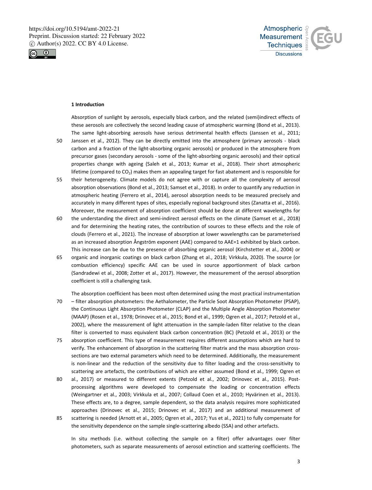



#### **1 Introduction**

Absorption of sunlight by aerosols, especially black carbon, and the related (semi)indirect effects of these aerosols are collectively the second leading cause of atmospheric warming (Bond et al., 2013). The same light-absorbing aerosols have serious detrimental health effects (Janssen et al., 2011;

- 50 Janssen et al., 2012). They can be directly emitted into the atmosphere (primary aerosols black carbon and a fraction of the light-absorbing organic aerosols) or produced in the atmosphere from precursor gases (secondary aerosols - some of the light-absorbing organic aerosols) and their optical properties change with ageing (Saleh et al., 2013; Kumar et al., 2018). Their short atmospheric lifetime (compared to  $CO<sub>2</sub>$ ) makes them an appealing target for fast abatement and is responsible for
- 55 their heterogeneity. Climate models do not agree with or capture all the complexity of aerosol absorption observations (Bond et al., 2013; Samset et al., 2018). In order to quantify any reduction in atmospheric heating (Ferrero et al., 2014), aerosol absorption needs to be measured precisely and accurately in many different types of sites, especially regional background sites (Zanatta et al., 2016). Moreover, the measurement of absorption coefficient should be done at different wavelengths for
- 60 the understanding the direct and semi-indirect aerosol effects on the climate (Samset et al., 2018) and for determining the heating rates, the contribution of sources to these effects and the role of clouds (Ferrero et al., 2021). The increase of absorption at lower wavelengths can be parameterised as an increased absorption Ångström exponent (AAE) compared to AAE=1 exhibited by black carbon. This increase can be due to the presence of absorbing organic aerosol (Kirchstetter et al., 2004) or
- 65 organic and inorganic coatings on black carbon (Zhang et al., 2018; Virkkula, 2020). The source (or combustion efficiency) specific AAE can be used in source apportionment of black carbon (Sandradewi et al., 2008; Zotter et al., 2017). However, the measurement of the aerosol absorption coefficient is still a challenging task.
- The absorption coefficient has been most often determined using the most practical instrumentation 70 – filter absorption photometers: the Aethalometer, the Particle Soot Absorption Photometer (PSAP), the Continuous Light Absorption Photometer (CLAP) and the Multiple Angle Absorption Photometer (MAAP) (Rosen et al., 1978; Drinovec et al., 2015; Bond et al., 1999; Ogren et al., 2017; Petzold et al., 2002), where the measurement of light attenuation in the sample-laden filter relative to the clean filter is converted to mass equivalent black carbon concentration (BC) (Petzold et al., 2013) or the
- 75 absorption coefficient. This type of measurement requires different assumptions which are hard to verify. The enhancement of absorption in the scattering filter matrix and the mass absorption crosssections are two external parameters which need to be determined. Additionally, the measurement is non-linear and the reduction of the sensitivity due to filter loading and the cross-sensitivity to scattering are artefacts, the contributions of which are either assumed (Bond et al., 1999; Ogren et
- 80 al., 2017) or measured to different extents (Petzold et al., 2002; Drinovec et al., 2015). Postprocessing algorithms were developed to compensate the loading or concentration effects (Weingartner et al., 2003; Virkkula et al., 2007; Collaud Coen et al., 2010; Hyvärinen et al., 2013). These effects are, to a degree, sample dependent, so the data analysis requires more sophisticated approaches (Drinovec et al., 2015; Drinovec et al., 2017) and an additional measurement of 85 scattering is needed (Arnott et al., 2005; Ogren et al., 2017; Yus et al., 2021) to fully compensate for
- the sensitivity dependence on the sample single-scattering albedo (SSA) and other artefacts.

In situ methods (i.e. without collecting the sample on a filter) offer advantages over filter photometers, such as separate measurements of aerosol extinction and scattering coefficients. The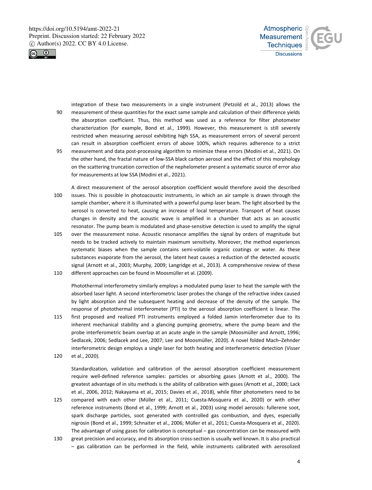



integration of these two measurements in a single instrument (Petzold et al., 2013) allows the 90 measurement of these quantities for the exact same sample and calculation of their difference yields the absorption coefficient. Thus, this method was used as a reference for filter photometer characterization (for example, Bond et al., 1999). However, this measurement is still severely restricted when measuring aerosol exhibiting high SSA, as measurement errors of several percent can result in absorption coefficient errors of above 100%, which requires adherence to a strict 95 measurement and data post-processing algorithm to minimize these errors (Modini et al., 2021). On the other hand, the fractal nature of low-SSA black carbon aerosol and the effect of this morphology on the scattering truncation correction of the nephelometer present a systematic source of error also for measurements at low SSA (Modini et al., 2021).

A direct measurement of the aerosol absorption coefficient would therefore avoid the described 100 issues. This is possible in photoacoustic instruments, in which an air sample is drawn through the sample chamber, where it is illuminated with a powerful pump laser beam. The light absorbed by the aerosol is converted to heat, causing an increase of local temperature. Transport of heat causes changes in density and the acoustic wave is amplified in a chamber that acts as an acoustic resonator. The pump beam is modulated and phase-sensitive detection is used to amplify the signal

105 over the measurement noise. Acoustic resonance amplifies the signal by orders of magnitude but needs to be tracked actively to maintain maximum sensitivity. Moreover, the method experiences systematic biases when the sample contains semi-volatile organic coatings or water. As these substances evaporate from the aerosol, the latent heat causes a reduction of the detected acoustic signal (Arnott et al., 2003; Murphy, 2009; Langridge et al., 2013). A comprehensive review of these 110 different approaches can be found in Moosmüller et al. (2009).

Photothermal interferometry similarly employs a modulated pump laser to heat the sample with the absorbed laser light. A second interferometric laser probes the change of the refractive index caused by light absorption and the subsequent heating and decrease of the density of the sample. The response of photothermal interferometer (PTI) to the aerosol absorption coefficient is linear. The

115 first proposed and realized PTI instruments employed a folded Jamin interferometer due to its inherent mechanical stability and a glancing pumping geometry, where the pump beam and the probe interferometric beam overlap at an acute angle in the sample (Moosmüller and Arnott, 1996; Sedlacek, 2006; Sedlacek and Lee, 2007; Lee and Moosmüller, 2020). A novel folded Mach–Zehnder interferometric design employs a single laser for both heating and interferometric detection (Visser 120 et al., 2020).

Standardization, validation and calibration of the aerosol absorption coefficient measurement require well-defined reference samples: particles or absorbing gases (Arnott et al., 2000). The greatest advantage of in situ methods is the ability of calibration with gases (Arnott et al., 2000; Lack et al., 2006, 2012; Nakayama et al., 2015; Davies et al., 2018), while filter photometers need to be

- 125 compared with each other (Müller et al., 2011; Cuesta-Mosquera et al., 2020) or with other reference instruments (Bond et al., 1999; Arnott et al., 2003) using model aerosols: fullerene soot, spark discharge particles, soot generated with controlled gas combustion, and dyes, especially nigrosin (Bond et al., 1999; Schnaiter et al., 2006; Müller et al., 2011; Cuesta-Mosquera et al., 2020). The advantage of using gases for calibration is conceptual – gas concentration can be measured with
- 130 great precision and accuracy, and its absorption cross-section is usually well known. It is also practical – gas calibration can be performed in the field, while instruments calibrated with aerosolized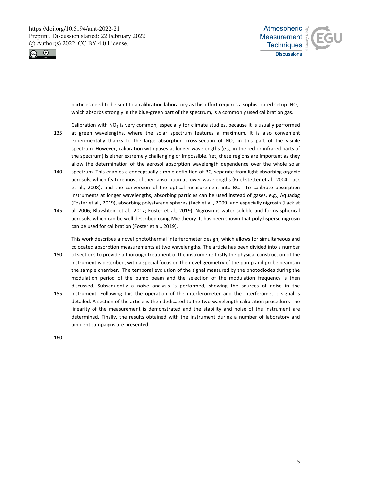



particles need to be sent to a calibration laboratory as this effort requires a sophisticated setup. NO<sub>2</sub>, which absorbs strongly in the blue-green part of the spectrum, is a commonly used calibration gas.

Calibration with  $NO<sub>2</sub>$  is very common, especially for climate studies, because it is usually performed

- 135 at green wavelengths, where the solar spectrum features a maximum. It is also convenient experimentally thanks to the large absorption cross-section of  $NO<sub>2</sub>$  in this part of the visible spectrum. However, calibration with gases at longer wavelengths (e.g. in the red or infrared parts of the spectrum) is either extremely challenging or impossible. Yet, these regions are important as they allow the determination of the aerosol absorption wavelength dependence over the whole solar
- 140 spectrum. This enables a conceptually simple definition of BC, separate from light-absorbing organic aerosols, which feature most of their absorption at lower wavelengths (Kirchstetter et al., 2004; Lack et al., 2008), and the conversion of the optical measurement into BC. To calibrate absorption instruments at longer wavelengths, absorbing particles can be used instead of gases, e.g., Aquadag (Foster et al., 2019), absorbing polystyrene spheres (Lack et al., 2009) and especially nigrosin (Lack et
- 145 al, 2006; Bluvshtein et al., 2017; Foster et al., 2019). Nigrosin is water soluble and forms spherical aerosols, which can be well described using Mie theory. It has been shown that polydisperse nigrosin can be used for calibration (Foster et al., 2019).

This work describes a novel photothermal interferometer design, which allows for simultaneous and colocated absorption measurements at two wavelengths. The article has been divided into a number

- 150 of sections to provide a thorough treatment of the instrument: firstly the physical construction of the instrument is described, with a special focus on the novel geometry of the pump and probe beams in the sample chamber. The temporal evolution of the signal measured by the photodiodes during the modulation period of the pump beam and the selection of the modulation frequency is then discussed. Subsequently a noise analysis is performed, showing the sources of noise in the
- 155 instrument. Following this the operation of the interferometer and the interferometric signal is detailed. A section of the article is then dedicated to the two-wavelength calibration procedure. The linearity of the measurement is demonstrated and the stability and noise of the instrument are determined. Finally, the results obtained with the instrument during a number of laboratory and ambient campaigns are presented.

160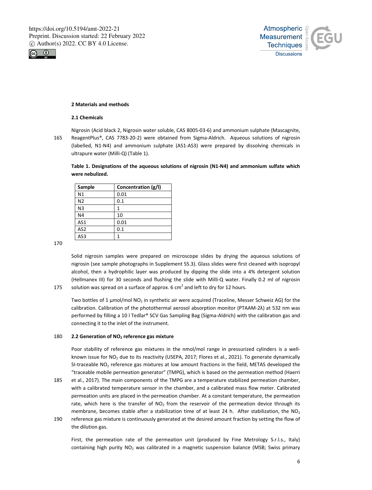



# **2 Materials and methods**

#### **2.1 Chemicals**

Nigrosin (Acid black 2, Nigrosin water soluble, CAS 8005-03-6) and ammonium sulphate (Mascagnite,

165 ReagentPlus®, CAS 7783-20-2) were obtained from Sigma-Aldrich. Aqueous solutions of nigrosin (labelled, N1-N4) and ammonium sulphate (AS1-AS3) were prepared by dissolving chemicals in ultrapure water (Milli-Q) (Table 1).

**Table 1. Designations of the aqueous solutions of nigrosin (N1-N4) and ammonium sulfate which were nebulized.** 

| Sample          | Concentration (g/l) |
|-----------------|---------------------|
| N <sub>1</sub>  | 0.01                |
| N <sub>2</sub>  | 0.1                 |
| N <sub>3</sub>  | 1                   |
| N <sub>4</sub>  | 10                  |
| AS1             | 0.01                |
| AS <sub>2</sub> | 0.1                 |
| AS3             | 1                   |

170

Solid nigrosin samples were prepared on microscope slides by drying the aqueous solutions of nigrosin (see sample photographs in Supplement S5.3). Glass slides were first cleaned with isopropyl alcohol, then a hydrophilic layer was produced by dipping the slide into a 4% detergent solution (Hellmanex III) for 30 seconds and flushing the slide with Milli-Q water. Finally 0.2 ml of nigrosin 175 solution was spread on a surface of approx. 6 cm<sup>2</sup> and left to dry for 12 hours.

Two bottles of 1 μmol/mol NO2 in synthetic air were acquired (Traceline, Messer Schweiz AG) for the calibration. Calibration of the photothermal aerosol absorption monitor (PTAAM-2λ) at 532 nm was performed by filling a 10 l Tedlar® SCV Gas Sampling Bag (Sigma-Aldrich) with the calibration gas and connecting it to the inlet of the instrument.

#### 180 **2.2 Generation of NO2 reference gas mixture**

Poor stability of reference gas mixtures in the nmol/mol range in pressurized cylinders is a wellknown issue for NO<sub>2</sub> due to its reactivity (USEPA, 2017; Flores et al., 2021). To generate dynamically SI-traceable NO<sub>2</sub> reference gas mixtures at low amount fractions in the field, METAS developed the "traceable mobile permeation generator" (TMPG), which is based on the permeation method (Haerri

- 185 et al., 2017). The main components of the TMPG are a temperature stabilized permeation chamber, with a calibrated temperature sensor in the chamber, and a calibrated mass flow meter. Calibrated permeation units are placed in the permeation chamber. At a constant temperature, the permeation rate, which here is the transfer of  $NO<sub>2</sub>$  from the reservoir of the permeation device through its membrane, becomes stable after a stabilization time of at least 24 h. After stabilization, the  $NO<sub>2</sub>$
- 190 reference gas mixture is continuously generated at the desired amount fraction by setting the flow of the dilution gas.

First, the permeation rate of the permeation unit (produced by Fine Metrology S.r.l.s., Italy) containing high purity  $NO<sub>2</sub>$  was calibrated in a magnetic suspension balance (MSB; Swiss primary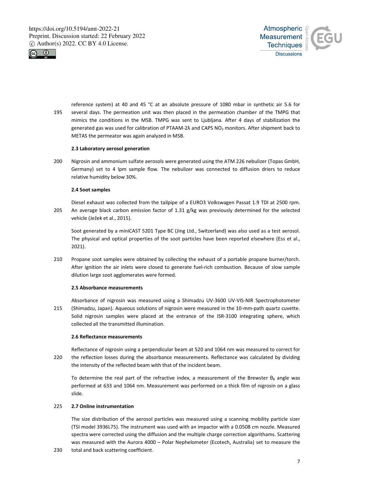



reference system) at 40 and 45 °C at an absolute pressure of 1080 mbar in synthetic air 5.6 for 195 several days. The permeation unit was then placed in the permeation chamber of the TMPG that mimics the conditions in the MSB. TMPG was sent to Ljubljana. After 4 days of stabilization the generated gas was used for calibration of PTAAM-2λ and CAPS NO<sub>2</sub> monitors. After shipment back to METAS the permeator was again analyzed in MSB.

#### **2.3 Laboratory aerosol generation**

200 Nigrosin and ammonium sulfate aerosols were generated using the ATM 226 nebulizer (Topas GmbH, Germany) set to 4 lpm sample flow. The nebulizer was connected to diffusion driers to reduce relative humidity below 30%.

#### **2.4 Soot samples**

Diesel exhaust was collected from the tailpipe of a EURO3 Volkswagen Passat 1.9 TDI at 2500 rpm. 205 An average black carbon emission factor of 1.31 g/kg was previously determined for the selected vehicle (Ježek et al., 2015).

Soot generated by a miniCAST 5201 Type BC (Jing Ltd., Switzerland) was also used as a test aerosol. The physical and optical properties of the soot particles have been reported elsewhere (Ess et al., 2021).

210 Propane soot samples were obtained by collecting the exhaust of a portable propane burner/torch. After ignition the air inlets were closed to generate fuel-rich combustion. Because of slow sample dilution large soot agglomerates were formed.

## **2.5 Absorbance measurements**

Absorbance of nigrosin was measured using a Shimadzu UV-3600 UV-VIS-NIR Spectrophotometer 215 (Shimadzu, Japan). Aqueous solutions of nigrosin were measured in the 10-mm-path quartz cuvette. Solid nigrosin samples were placed at the entrance of the ISR-3100 integrating sphere, which collected all the transmitted illumination.

# **2.6 Reflectance measurements**

Reflectance of nigrosin using a perpendicular beam at 520 and 1064 nm was measured to correct for 220 the reflection losses during the absorbance measurements. Reflectance was calculated by dividing the intensity of the reflected beam with that of the incident beam.

To determine the real part of the refractive index, a measurement of the Brewster  $\theta_B$  angle was performed at 633 and 1064 nm. Measurement was performed on a thick film of nigrosin on a glass slide.

# 225 **2.7 Online instrumentation**

The size distribution of the aerosol particles was measured using a scanning mobility particle sizer (TSI model 3936L75). The instrument was used with an impactor with a 0.0508 cm nozzle. Measured spectra were corrected using the diffusion and the multiple charge correction algorithams. Scattering was measured with the Aurora 4000 – Polar Nephelometer (Ecotech, Australia) set to measure the

230 total and back scattering coefficient.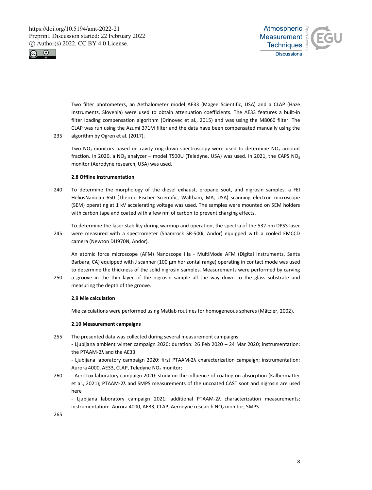



Two filter photometers, an Aethalometer model AE33 (Magee Scientific, USA) and a CLAP (Haze Instruments, Slovenia) were used to obtain attenuation coefficients. The AE33 features a built-in filter loading compensation algorithm (Drinovec et al., 2015) and was using the M8060 filter. The CLAP was run using the Azumi 371M filter and the data have been compensated manually using the 235 algorithm by Ogren et al. (2017).

Two  $NO<sub>2</sub>$  monitors based on cavity ring-down spectroscopy were used to determine  $NO<sub>2</sub>$  amount fraction. In 2020, a NO<sub>2</sub> analyzer – model T500U (Teledyne, USA) was used. In 2021, the CAPS NO<sub>2</sub> monitor (Aerodyne research, USA) was used.

# **2.8 Offline instrumentation**

240 To determine the morphology of the diesel exhaust, propane soot, and nigrosin samples, a FEI HeliosNanolab 650 (Thermo Fischer Scientific, Waltham, MA, USA) scanning electron microscope (SEM) operating at 1 kV accelerating voltage was used. The samples were mounted on SEM holders with carbon tape and coated with a few nm of carbon to prevent charging effects.

To determine the laser stability during warmup and operation, the spectra of the 532 nm DPSS laser 245 were measured with a spectrometer (Shamrock SR-500i, Andor) equipped with a cooled EMCCD camera (Newton DU970N, Andor).

An atomic force microscope (AFM) Nanoscope IIIa - MultiMode AFM (Digital Instruments, Santa Barbara, CA) equipped with J scanner (100 μm horizontal range) operating in contact mode was used to determine the thickness of the solid nigrosin samples. Measurements were performed by carving

250 a groove in the thin layer of the nigrosin sample all the way down to the glass substrate and measuring the depth of the groove.

# **2.9 Mie calculation**

Mie calculations were performed using Matlab routines for homogeneous spheres (Mätzler, 2002).

# **2.10 Measurement campaigns**

255 The presented data was collected during several measurement campaigns:

- Ljubljana ambient winter campaign 2020: duration: 26 Feb 2020 – 24 Mar 2020; instrumentation: the PTAAM-2λ and the AE33.

- Ljubljana laboratory campaign 2020: first PTAAM-2λ characterization campaign; instrumentation: Aurora 4000, AE33, CLAP, Teledyne NO<sub>2</sub> monitor;

260 - AeroTox laboratory campaign 2020: study on the influence of coating on absorption (Kalbermatter et al., 2021); PTAAM-2λ and SMPS measurements of the uncoated CAST soot and nigrosin are used here

- Ljubljana laboratory campaign 2021: additional PTAAM-2λ characterization measurements; instrumentation: Aurora 4000, AE33, CLAP, Aerodyne research  $NO<sub>2</sub>$  monitor; SMPS.

265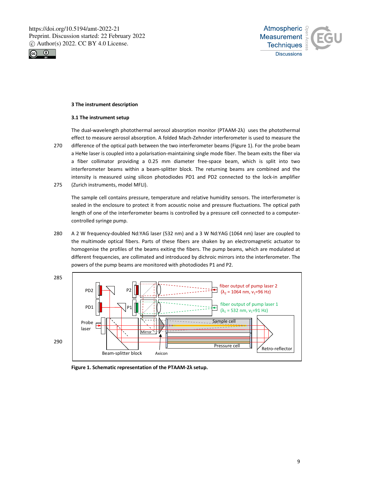



# **3 The instrument description**

### **3.1 The instrument setup**

The dual-wavelength photothermal aerosol absorption monitor (PTAAM-2λ) uses the photothermal effect to measure aerosol absorption. A folded Mach-Zehnder interferometer is used to measure the 270 difference of the optical path between the two interferometer beams (Figure 1). For the probe beam a HeNe laser is coupled into a polarisation-maintaining single mode fiber. The beam exits the fiber via a fiber collimator providing a 0.25 mm diameter free-space beam, which is split into two interferometer beams within a beam-splitter block. The returning beams are combined and the intensity is measured using silicon photodiodes PD1 and PD2 connected to the lock-in amplifier 275 (Zurich instruments, model MFLI).

The sample cell contains pressure, temperature and relative humidity sensors. The interferometer is sealed in the enclosure to protect it from acoustic noise and pressure fluctuations. The optical path length of one of the interferometer beams is controlled by a pressure cell connected to a computercontrolled syringe pump.

280 A 2 W frequency-doubled Nd:YAG laser (532 nm) and a 3 W Nd:YAG (1064 nm) laser are coupled to the multimode optical fibers. Parts of these fibers are shaken by an electromagnetic actuator to homogenise the profiles of the beams exiting the fibers. The pump beams, which are modulated at different frequencies, are collimated and introduced by dichroic mirrors into the interferometer. The powers of the pump beams are monitored with photodiodes P1 and P2.



**Figure 1. Schematic representation of the PTAAM-2λ setup.**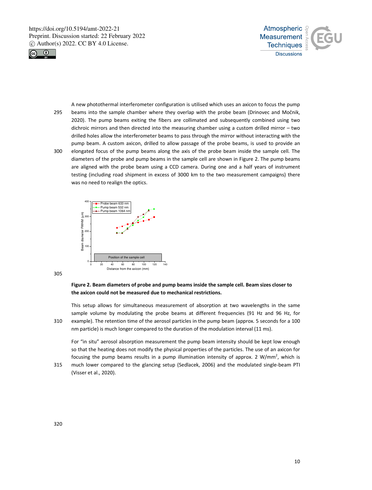



A new photothermal interferometer configuration is utilised which uses an axicon to focus the pump 295 beams into the sample chamber where they overlap with the probe beam (Drinovec and Močnik, 2020). The pump beams exiting the fibers are collimated and subsequently combined using two dichroic mirrors and then directed into the measuring chamber using a custom drilled mirror – two drilled holes allow the interferometer beams to pass through the mirror without interacting with the pump beam. A custom axicon, drilled to allow passage of the probe beams, is used to provide an 300 elongated focus of the pump beams along the axis of the probe beam inside the sample cell. The diameters of the probe and pump beams in the sample cell are shown in Figure 2. The pump beams are aligned with the probe beam using a CCD camera. During one and a half years of instrument testing (including road shipment in excess of 3000 km to the two measurement campaigns) there was no need to realign the optics.



305

# **Figure 2. Beam diameters of probe and pump beams inside the sample cell. Beam sizes closer to the axicon could not be measured due to mechanical restrictions.**

This setup allows for simultaneous measurement of absorption at two wavelengths in the same sample volume by modulating the probe beams at different frequencies (91 Hz and 96 Hz, for 310 example). The retention time of the aerosol particles in the pump beam (approx. 5 seconds for a 100 nm particle) is much longer compared to the duration of the modulation interval (11 ms).

For "in situ" aerosol absorption measurement the pump beam intensity should be kept low enough so that the heating does not modify the physical properties of the particles. The use of an axicon for focusing the pump beams results in a pump illumination intensity of approx. 2 W/mm<sup>2</sup>, which is

315 much lower compared to the glancing setup (Sedlacek, 2006) and the modulated single-beam PTI (Visser et al., 2020).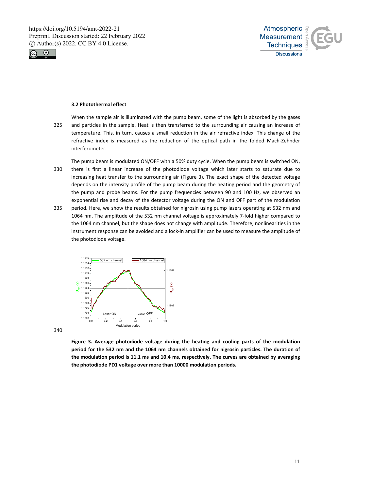



#### **3.2 Photothermal effect**

- When the sample air is illuminated with the pump beam, some of the light is absorbed by the gases 325 and particles in the sample. Heat is then transferred to the surrounding air causing an increase of temperature. This, in turn, causes a small reduction in the air refractive index. This change of the refractive index is measured as the reduction of the optical path in the folded Mach-Zehnder interferometer.
- The pump beam is modulated ON/OFF with a 50% duty cycle. When the pump beam is switched ON, 330 there is first a linear increase of the photodiode voltage which later starts to saturate due to increasing heat transfer to the surrounding air (Figure 3). The exact shape of the detected voltage depends on the intensity profile of the pump beam during the heating period and the geometry of the pump and probe beams. For the pump frequencies between 90 and 100 Hz, we observed an exponential rise and decay of the detector voltage during the ON and OFF part of the modulation 335 period. Here, we show the results obtained for nigrosin using pump lasers operating at 532 nm and
- 1064 nm. The amplitude of the 532 nm channel voltage is approximately 7-fold higher compared to the 1064 nm channel, but the shape does not change with amplitude. Therefore, nonlinearities in the instrument response can be avoided and a lock-in amplifier can be used to measure the amplitude of the photodiode voltage.



340

**Figure 3. Average photodiode voltage during the heating and cooling parts of the modulation period for the 532 nm and the 1064 nm channels obtained for nigrosin particles. The duration of the modulation period is 11.1 ms and 10.4 ms, respectively. The curves are obtained by averaging the photodiode PD1 voltage over more than 10000 modulation periods.**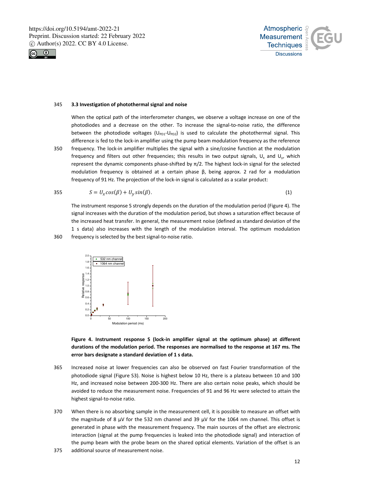



#### 345 **3.3 Investigation of photothermal signal and noise**

When the optical path of the interferometer changes, we observe a voltage increase on one of the photodiodes and a decrease on the other. To increase the signal-to-noise ratio, the difference between the photodiode voltages ( $U_{PD1}$ - $U_{PD2}$ ) is used to calculate the photothermal signal. This difference is fed to the lock-in amplifier using the pump beam modulation frequency as the reference 350 frequency. The lock-in amplifier multiplies the signal with a sine/cosine function at the modulation frequency and filters out other frequencies; this results in two output signals,  $U_x$  and  $U_y$ , which represent the dynamic components phase-shifted by  $\pi/2$ . The highest lock-in signal for the selected modulation frequency is obtained at a certain phase β, being approx. 2 rad for a modulation frequency of 91 Hz. The projection of the lock-in signal is calculated as a scalar product:

$$
S = U_x \cos(\beta) + U_y \sin(\beta). \tag{1}
$$

The instrument response S strongly depends on the duration of the modulation period (Figure 4). The signal increases with the duration of the modulation period, but shows a saturation effect because of the increased heat transfer. In general, the measurement noise (defined as standard deviation of the 1 s data) also increases with the length of the modulation interval. The optimum modulation 360 frequency is selected by the best signal-to-noise ratio.



**Figure 4. Instrument response S (lock-in amplifier signal at the optimum phase) at different durations of the modulation period. The responses are normalised to the response at 167 ms. The error bars designate a standard deviation of 1 s data.** 

- 365 Increased noise at lower frequencies can also be observed on fast Fourier transformation of the photodiode signal (Figure S3). Noise is highest below 10 Hz, there is a plateau between 10 and 100 Hz, and increased noise between 200-300 Hz. There are also certain noise peaks, which should be avoided to reduce the measurement noise. Frequencies of 91 and 96 Hz were selected to attain the highest signal-to-noise ratio.
- 370 When there is no absorbing sample in the measurement cell, it is possible to measure an offset with the magnitude of 8  $\mu$ V for the 532 nm channel and 39  $\mu$ V for the 1064 nm channel. This offset is generated in phase with the measurement frequency. The main sources of the offset are electronic interaction (signal at the pump frequencies is leaked into the photodiode signal) and interaction of the pump beam with the probe beam on the shared optical elements. Variation of the offset is an
- 375 additional source of measurement noise.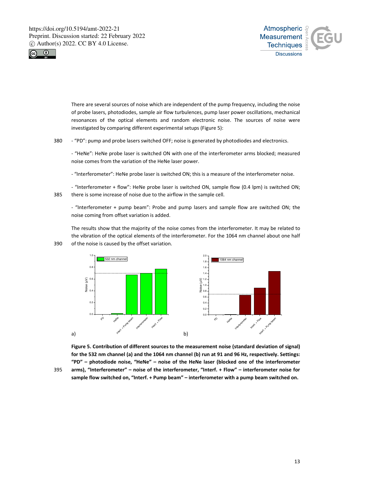



There are several sources of noise which are independent of the pump frequency, including the noise of probe lasers, photodiodes, sample air flow turbulences, pump laser power oscillations, mechanical resonances of the optical elements and random electronic noise. The sources of noise were investigated by comparing different experimental setups (Figure 5):

380 - "PD": pump and probe lasers switched OFF; noise is generated by photodiodes and electronics.

- "HeNe": HeNe probe laser is switched ON with one of the interferometer arms blocked; measured noise comes from the variation of the HeNe laser power.

- "Interferometer": HeNe probe laser is switched ON; this is a measure of the interferometer noise.

- "Interferometer + flow": HeNe probe laser is switched ON, sample flow (0.4 lpm) is switched ON; 385 there is some increase of noise due to the airflow in the sample cell.

- "Interferometer + pump beam": Probe and pump lasers and sample flow are switched ON; the noise coming from offset variation is added.

The results show that the majority of the noise comes from the interferometer. It may be related to the vibration of the optical elements of the interferometer. For the 1064 nm channel about one half 390 of the noise is caused by the offset variation.



**Figure 5. Contribution of different sources to the measurement noise (standard deviation of signal) for the 532 nm channel (a) and the 1064 nm channel (b) run at 91 and 96 Hz, respectively. Settings: "PD" – photodiode noise, "HeNe" – noise of the HeNe laser (blocked one of the interferometer**  395 **arms), "Interferometer" – noise of the interferometer, "Interf. + Flow" – interferometer noise for sample flow switched on, "Interf. + Pump beam" – interferometer with a pump beam switched on.**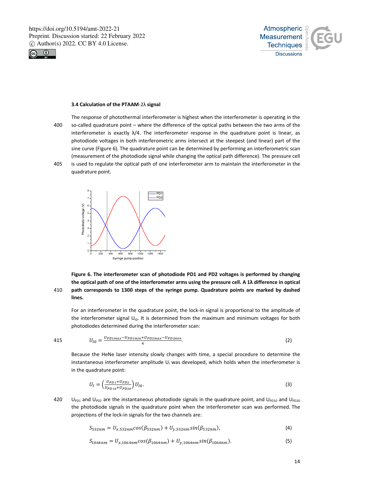



#### **3.4 Calculation of the PTAAM**-2λ **signal**

- The response of photothermal interferometer is highest when the interferometer is operating in the 400 so-called quadrature point – where the difference of the optical paths between the two arms of the interferometer is exactly  $\lambda/4$ . The interferometer response in the quadrature point is linear, as photodiode voltages in both interferometric arms intersect at the steepest (and linear) part of the sine curve (Figure 6). The quadrature point can be determined by performing an interferometric scan (measurement of the photodiode signal while changing the optical path difference). The pressure cell 405 is used to regulate the optical path of one interferometer arm to maintain the interferometer in the
	- quadrature point.



# **Figure 6. The interferometer scan of photodiode PD1 and PD2 voltages is performed by changing the optical path of one of the interferometer arms using the pressure cell. A 1λ difference in optical**  410 **path corresponds to 1300 steps of the syringe pump. Quadrature points are marked by dashed lines.**

For an interferometer in the quadrature point, the lock-in signal is proportional to the amplitude of the interferometer signal  $U_{10}$ . It is determined from the maximum and minimum voltages for both photodiodes determined during the interferometer scan:

415 
$$
U_{I0} = \frac{U_{PD1max} - U_{PD1min} + U_{PD2max} - U_{PD2min}}{4}.
$$
 (2)

Because the HeNe laser intensity slowly changes with time, a special procedure to determine the instantaneous interferometer amplitude  $U_1$  was developed, which holds when the interferometer is in the quadrature point:

$$
U_I = \left(\frac{U_{PD1} + U_{PD2}}{U_{PD10} + U_{PD20}}\right)U_{I0}.\tag{3}
$$

420  $U_{PD1}$  and  $U_{PD2}$  are the instantaneous photodiode signals in the quadrature point, and  $U_{PD10}$  and  $U_{PD20}$ the photodiode signals in the quadrature point when the interferometer scan was performed. The projections of the lock-in signals for the two channels are:

$$
S_{532nm} = U_{x,532nm} \cos(\beta_{532nm}) + U_{y,532nm} \sin(\beta_{532nm}), \tag{4}
$$

$$
S_{1064nm} = U_{x,1064nm} \cos(\beta_{1064nm}) + U_{y,1064nm} \sin(\beta_{1064nm}). \tag{5}
$$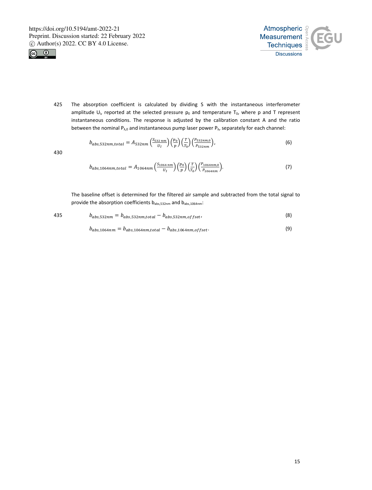



425 The absorption coefficient is calculated by dividing S with the instantaneous interferometer amplitude  $U_i$ , reported at the selected pressure  $p_0$  and temperature T<sub>0</sub>, where p and T represent instantaneous conditions. The response is adjusted by the calibration constant A and the ratio between the nominal  $P_{\lambda,0}$  and instantaneous pump laser power  $P_{\lambda}$ , separately for each channel:

$$
b_{abs,532nm,total} = A_{532nm} \left(\frac{S_{532\,nm}}{U_I}\right) \left(\frac{p_0}{p}\right) \left(\frac{T}{T_0}\right) \left(\frac{p_{532nm,0}}{P_{532nm}}\right),\tag{6}
$$

430

$$
b_{abs,1064nm, total} = A_{1064nm} \left( \frac{S_{1064nm}}{U_I} \right) \left( \frac{p_0}{p} \right) \left( \frac{T}{T_0} \right) \left( \frac{P_{1064nm,0}}{P_{1064nm}} \right). \tag{7}
$$

The baseline offset is determined for the filtered air sample and subtracted from the total signal to provide the absorption coefficients  $b_{abs,532nm}$  and  $b_{abs,1064nm}$ :

$$
b_{abs,532nm} = b_{abs,532nm,total} - b_{abs,532nm,offset},
$$
\n(8)

$$
b_{abs,1064nm} = b_{abs,1064nm, total} - b_{abs,1064nm, offset} \tag{9}
$$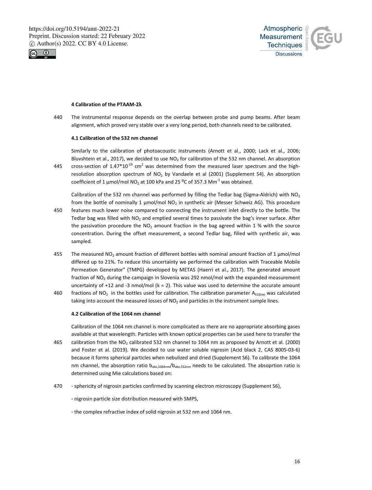



# **4 Calibration of the PTAAM-2λ**

440 The instrumental response depends on the overlap between probe and pump beams. After beam alignment, which proved very stable over a very long period, both channels need to be calibrated.

#### **4.1 Calibration of the 532 nm channel**

Similarly to the calibration of photoacoustic instruments (Arnott et al., 2000; Lack et al., 2006; Bluvshtein et al., 2017), we decided to use  $NO<sub>2</sub>$  for calibration of the 532 nm channel. An absorption 445 cross-section of  $1.47*10^{19}$  cm<sup>2</sup> was determined from the measured laser spectrum and the highresolution absorption spectrum of  $NO<sub>2</sub>$  by Vandaele et al (2001) (Supplement S4). An absorption coefficient of 1  $\mu$ mol/mol NO<sub>2</sub> at 100 kPa and 25 °C of 357.3 Mm<sup>-1</sup> was obtained.

Calibration of the 532 nm channel was performed by filling the Tedlar bag (Sigma-Aldrich) with  $NO<sub>2</sub>$ from the bottle of nominally 1  $\mu$ mol/mol NO<sub>2</sub> in synthetic air (Messer Schweiz AG). This procedure

- 450 features much lower noise compared to connecting the instrument inlet directly to the bottle. The Tedlar bag was filled with NO<sub>2</sub> and emptied several times to passivate the bag's inner surface. After the passivation procedure the  $NO<sub>2</sub>$  amount fraction in the bag agreed within 1 % with the source concentration. During the offset measurement, a second Tedlar bag, filled with synthetic air, was sampled.
- 455 The measured NO<sub>2</sub> amount fraction of different bottles with nominal amount fraction of 1  $\mu$ mol/mol differed up to 21%. To reduce this uncertainty we performed the calibration with Traceable Mobile Permeation Generator" (TMPG) developed by METAS (Haerri et al., 2017). The generated amount fraction of NO2 during the campaign in Slovenia was 292 nmol/mol with the expanded measurement uncertainty of  $+12$  and  $-3$  nmol/mol (k = 2). This value was used to determine the accurate amount
- 460 fractions of NO<sub>2</sub> in the bottles used for calibration. The calibration parameter A<sub>532nm</sub> was calculated taking into account the measured losses of  $NO<sub>2</sub>$  and particles in the instrument sample lines.

#### **4.2 Calibration of the 1064 nm channel**

Calibration of the 1064 nm channel is more complicated as there are no appropriate absorbing gases available at that wavelength. Particles with known optical properties can be used here to transfer the 465 calibration from the NO2 calibrated 532 nm channel to 1064 nm as proposed by Arnott et al. (2000) and Foster et al. (2019). We decided to use water soluble nigrosin (Acid black 2, CAS 8005-03-6) because it forms spherical particles when nebulized and dried (Supplement S6). To calibrate the 1064 nm channel, the absorption ratio b<sub>abs,1064nm</sub>/b<sub>abs,532nm</sub> needs to be calculated. The absoprtion ratio is determined using Mie calculations based on:

- 470 sphericity of nigrosin particles confirmed by scanning electron microscopy (Supplement S6),
	- nigrosin particle size distribution measured with SMPS,
	- the complex refractive index of solid nigrosin at 532 nm and 1064 nm.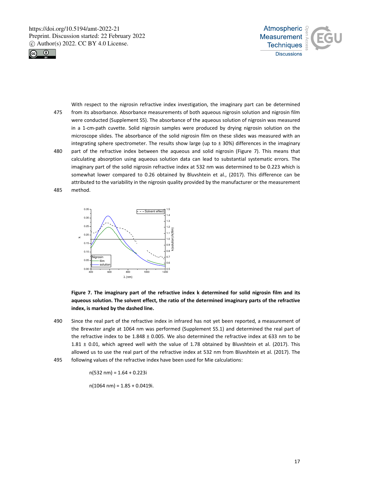



With respect to the nigrosin refractive index investigation, the imaginary part can be determined 475 from its absorbance. Absorbance measurements of both aqueous nigrosin solution and nigrosin film were conducted (Supplement S5). The absorbance of the aqueous solution of nigrosin was measured in a 1-cm-path cuvette. Solid nigrosin samples were produced by drying nigrosin solution on the microscope slides. The absorbance of the solid nigrosin film on these slides was measured with an integrating sphere spectrometer. The results show large (up to  $\pm$  30%) differences in the imaginary 480 part of the refractive index between the aqueous and solid nigrosin (Figure 7). This means that calculating absorption using aqueous solution data can lead to substantial systematic errors. The imaginary part of the solid nigrosin refractive index at 532 nm was determined to be 0.223 which is somewhat lower compared to 0.26 obtained by Bluvshtein et al., (2017). This difference can be

attributed to the variability in the nigrosin quality provided by the manufacturer or the measurement 485 method.



**Figure 7. The imaginary part of the refractive index k determined for solid nigrosin film and its aqueous solution. The solvent effect, the ratio of the determined imaginary parts of the refractive index, is marked by the dashed line.** 

490 Since the real part of the refractive index in infrared has not yet been reported, a measurement of the Brewster angle at 1064 nm was performed (Supplement S5.1) and determined the real part of the refractive index to be 1.848 ± 0.005. We also determined the refractive index at 633 nm to be 1.81 ± 0.01, which agreed well with the value of 1.78 obtained by Bluvshtein et al. (2017). This allowed us to use the real part of the refractive index at 532 nm from Bluvshtein et al. (2017). The 495 following values of the refractive index have been used for Mie calculations:

 $n(532 nm) = 1.64 + 0.223i$ 

 $n(1064 \text{ nm}) = 1.85 + 0.0419i.$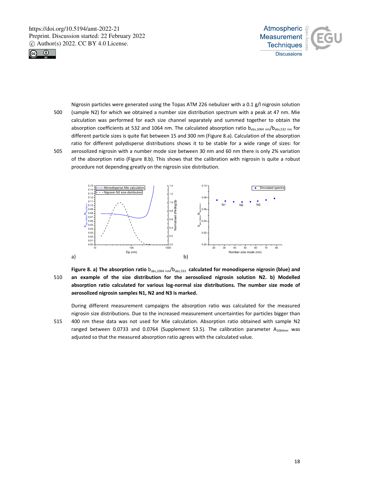



Nigrosin particles were generated using the Topas ATM 226 nebulizer with a 0.1 g/l nigrosin solution 500 (sample N2) for which we obtained a number size distribution spectrum with a peak at 47 nm. Mie calculation was performed for each size channel separately and summed together to obtain the absorption coefficients at 532 and 1064 nm. The calculated absorption ratio  $b_{abs,1064\ nm}/b_{abs,532\ nm}$  for different particle sizes is quite flat between 15 and 300 nm (Figure 8.a). Calculation of the absorption ratio for different polydisperse distributions shows it to be stable for a wide range of sizes: for 505 aerosolized nigrosin with a number mode size between 30 nm and 60 nm there is only 2% variation of the absorption ratio (Figure 8.b). This shows that the calibration with nigrosin is quite a robust procedure not depending greatly on the nigrosin size distribution.



Figure 8. a) The absorption ratio  $b_{abs,1064\ nm}/b_{abs,532}$  calculated for monodisperse nigrosin (blue) and 510 **an example of the size distribution for the aerosolized nigrosin solution N2. b) Modelled absorption ratio calculated for various log-normal size distributions. The number size mode of aerosolized nigrosin samples N1, N2 and N3 is marked.** 

During different measurement campaigns the absorption ratio was calculated for the measured nigrosin size distributions. Due to the increased measurement uncertainties for particles bigger than 515 400 nm these data was not used for Mie calculation. Absorption ratio obtained with sample N2 ranged between 0.0733 and 0.0764 (Supplement S3.5). The calibration parameter  $A_{1064nm}$  was adjusted so that the measured absorption ratio agrees with the calculated value.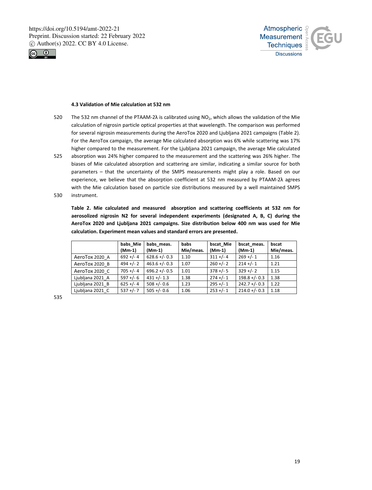



## **4.3 Validation of Mie calculation at 532 nm**

- 520 The 532 nm channel of the PTAAM-2λ is calibrated using NO<sub>2</sub>, which allows the validation of the Mie calculation of nigrosin particle optical properties at that wavelength. The comparison was performed for several nigrosin measurements during the AeroTox 2020 and Ljubljana 2021 campaigns (Table 2). For the AeroTox campaign, the average Mie calculated absorption was 6% while scattering was 17% higher compared to the measurement. For the Ljubljana 2021 campaign, the average Mie calculated
- 525 absorption was 24% higher compared to the measurement and the scattering was 26% higher. The biases of Mie calculated absorption and scattering are similar, indicating a similar source for both parameters – that the uncertainty of the SMPS measurements might play a role. Based on our experience, we believe that the absorption coefficient at 532 nm measured by PTAAM-2λ agrees with the Mie calculation based on particle size distributions measured by a well maintained SMPS
- 530 instrument.

**Table 2. Mie calculated and measured absorption and scattering coefficients at 532 nm for aerosolized nigrosin N2 for several independent experiments (designated A, B, C) during the AeroTox 2020 and Ljubljana 2021 campaigns. Size distribution below 400 nm was used for Mie calculation. Experiment mean values and standard errors are presented.** 

|                  | babs Mie     | babs meas.       | <b>babs</b> | bscat Mie   | bscat meas.      | bscat     |
|------------------|--------------|------------------|-------------|-------------|------------------|-----------|
|                  | $(Mm-1)$     | $(Mm-1)$         | Mie/meas.   | $(Mm-1)$    | $(Mm-1)$         | Mie/meas. |
| AeroTox 2020 A   | $692 +/- 4$  | $628.6 +/- 0.3$  | 1.10        | $311 +/- 4$ | $269 +/- 1$      | 1.16      |
| AeroTox 2020 B   | $494 + (-2)$ | $463.6 + (-0.3)$ | 1.07        | $260 +/- 2$ | $214 +/- 1$      | 1.21      |
| AeroTox 2020 C   | $705 + (-4)$ | $696.2 +/- 0.5$  | 1.01        | $378 +/- 5$ | $329 +/- 2$      | 1.15      |
| Ljubljana 2021 A | $597 + (-6)$ | $431 + (-1.3)$   | 1.38        | $274 +/- 1$ | $198.8 + (-0.3)$ | 1.38      |
| Ljubljana 2021 B | $625 + (-4)$ | $508 + (-0.6)$   | 1.23        | $295 +/- 1$ | $242.7 + (-0.3)$ | 1.22      |
| Ljubljana 2021 C | $537 +/-7$   | $505 + (-0.6)$   | 1.06        | $253 +/- 1$ | $214.0 +/- 0.3$  | 1.18      |

535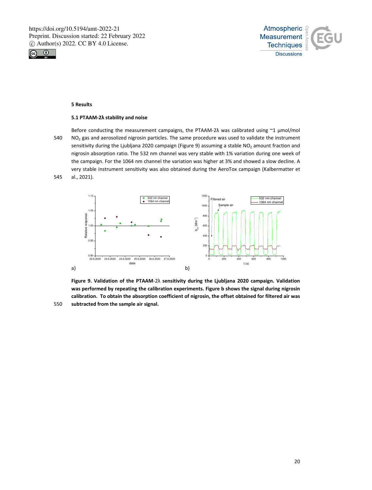



#### **5 Results**

#### **5.1 PTAAM-2λ stability and noise**

Before conducting the measurement campaigns, the PTAAM-2λ was calibrated using ~1 μmol/mol 540 NO2 gas and aerosolized nigrosin particles. The same procedure was used to validate the instrument sensitivity during the Ljubljana 2020 campaign (Figure 9) assuming a stable NO<sub>2</sub> amount fraction and nigrosin absorption ratio. The 532 nm channel was very stable with 1% variation during one week of the campaign. For the 1064 nm channel the variation was higher at 3% and showed a slow decline. A very stable instrument sensitivity was also obtained during the AeroTox campaign (Kalbermatter et 545 al., 2021).



**Figure 9. Validation of the PTAAM**-2λ **sensitivity during the Ljubljana 2020 campaign. Validation was performed by repeating the calibration experiments. Figure b shows the signal during nigrosin calibration. To obtain the absorption coefficient of nigrosin, the offset obtained for filtered air was**  550 **subtracted from the sample air signal.**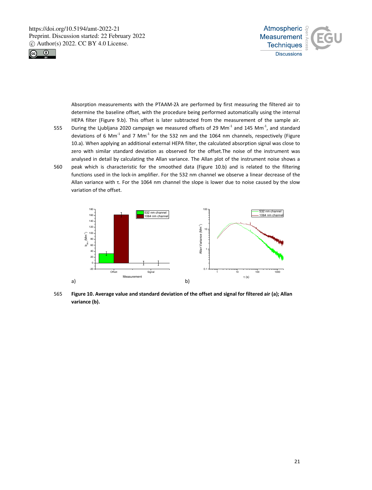



Absorption measurements with the PTAAM-2λ are performed by first measuring the filtered air to determine the baseline offset, with the procedure being performed automatically using the internal HEPA filter (Figure 9.b). This offset is later subtracted from the measurement of the sample air. 555 During the Ljubljana 2020 campaign we measured offsets of 29 Mm<sup>-1</sup> and 145 Mm<sup>-1</sup>, and standard

- deviations of 6 Mm<sup>-1</sup> and 7 Mm<sup>-1</sup> for the 532 nm and the 1064 nm channels, respectively (Figure 10.a). When applying an additional external HEPA filter, the calculated absorption signal was close to zero with similar standard deviation as observed for the offset.The noise of the instrument was analysed in detail by calculating the Allan variance. The Allan plot of the instrument noise shows a 560 peak which is characteristic for the smoothed data (Figure 10.b) and is related to the filtering functions used in the lock-in amplifier. For the 532 nm channel we observe a linear decrease of the
- Allan variance with τ. For the 1064 nm channel the slope is lower due to noise caused by the slow variation of the offset.



565 **Figure 10. Average value and standard deviation of the offset and signal for filtered air (a); Allan variance (b).**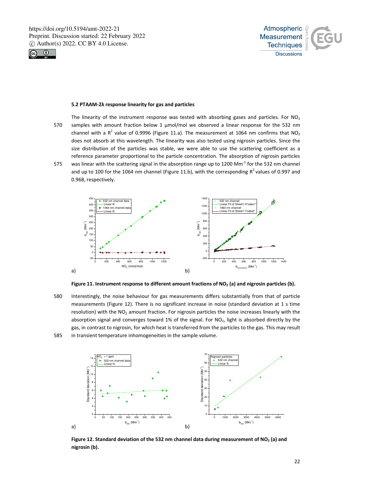



#### **5.2 PTAAM-2λ response linearity for gas and particles**

- The linearity of the instrument response was tested with absorbing gases and particles. For  $NO<sub>2</sub>$ 570 samples with amount fraction below 1 μmol/mol we observed a linear response for the 532 nm channel with a R<sup>2</sup> value of 0.9996 (Figure 11.a). The measurement at 1064 nm confirms that NO<sub>2</sub> does not absorb at this wavelength. The linearity was also tested using nigrosin particles. Since the size distribution of the particles was stable, we were able to use the scattering coefficient as a reference parameter proportional to the particle concentration. The absorption of nigrosin particles 575 was linear with the scattering signal in the absorption range up to 1200 Mm<sup>-1</sup> for the 532 nm channel
- and up to 100 for the 1064 nm channel (Figure 11.b), with the corresponding  $R^2$  values of 0.997 and 0.968, respectively.



**Figure 11. Instrument response to different amount fractions of NO2 (a) and nigrosin particles (b).** 

580 Interestingly, the noise behaviour for gas measurements differs substantially from that of particle measurements (Figure 12). There is no significant increase in noise (standard deviation at 1 s time resolution) with the  $NO<sub>2</sub>$  amount fraction. For nigrosin particles the noise increases linearly with the absorption signal and converges toward 1% of the signal. For  $NO<sub>2</sub>$ , light is absorbed directly by the gas, in contrast to nigrosin, for which heat is transferred from the particles to the gas. This may result 585 in transient temperature inhomogeneities in the sample volume.



Figure 12. Standard deviation of the 532 nm channel data during measurement of NO<sub>2</sub> (a) and **nigrosin (b).**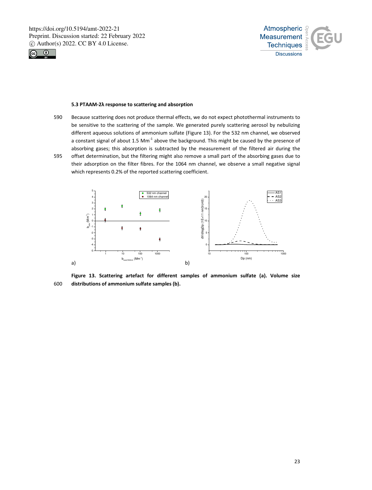



#### **5.3 PTAAM-2λ response to scattering and absorption**

- 590 Because scattering does not produce thermal effects, we do not expect photothermal instruments to be sensitive to the scattering of the sample. We generated purely scattering aerosol by nebulizing different aqueous solutions of ammonium sulfate (Figure 13). For the 532 nm channel, we observed a constant signal of about 1.5  $Mm^{-1}$  above the background. This might be caused by the presence of absorbing gases; this absorption is subtracted by the measurement of the filtered air during the
- 595 offset determination, but the filtering might also remove a small part of the absorbing gases due to their adsorption on the filter fibres. For the 1064 nm channel, we observe a small negative signal which represents 0.2% of the reported scattering coefficient.



**Figure 13. Scattering artefact for different samples of ammonium sulfate (a). Volume size**  600 **distributions of ammonium sulfate samples (b).**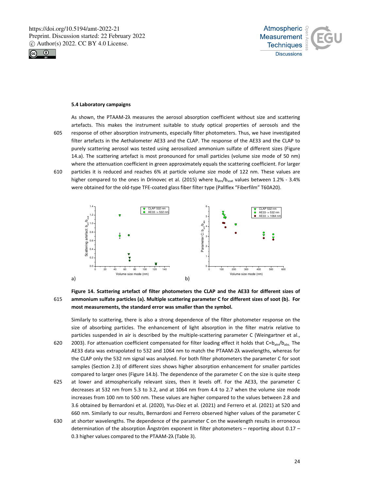



#### **5.4 Laboratory campaigns**

As shown, the PTAAM-2λ measures the aerosol absorption coefficient without size and scattering artefacts. This makes the instrument suitable to study optical properties of aerosols and the 605 response of other absorption instruments, especially filter photometers. Thus, we have investigated filter artefacts in the Aethalometer AE33 and the CLAP. The response of the AE33 and the CLAP to purely scattering aerosol was tested using aerosolized ammonium sulfate of different sizes (Figure 14.a). The scattering artefact is most pronounced for small particles (volume size mode of 50 nm) where the attenuation coefficient in green approximately equals the scattering coefficient. For larger 610 particles it is reduced and reaches 6% at particle volume size mode of 122 nm. These values are higher compared to the ones in Drinovec et al. (2015) where  $b_{atn}/b_{scat}$  values between 1.2% - 3.4% were obtained for the old-type TFE-coated glass fiber filter type (Pallflex "Fiberfilm" T60A20).



# **Figure 14. Scattering artefact of filter photometers the CLAP and the AE33 for different sizes of**  615 **ammonium sulfate particles (a). Multiple scattering parameter C for different sizes of soot (b). For most measurements, the standard error was smaller than the symbol.**

Similarly to scattering, there is also a strong dependence of the filter photometer response on the size of absorbing particles. The enhancement of light absorption in the filter matrix relative to particles suspended in air is described by the multiple-scattering parameter C (Weingartner et al., 620 2003). For attenuation coefficient compensated for filter loading effect it holds that  $C = b_{atn}/b_{abs}$ . The

- AE33 data was extrapolated to 532 and 1064 nm to match the PTAAM-2λ wavelengths, whereas for the CLAP only the 532 nm signal was analysed. For both filter photometers the parameter C for soot samples (Section 2.3) of different sizes shows higher absorption enhancement for smaller particles compared to larger ones (Figure 14.b). The dependence of the parameter C on the size is quite steep
- 625 at lower and atmospherically relevant sizes, then it levels off. For the AE33, the parameter C decreases at 532 nm from 5.3 to 3.2, and at 1064 nm from 4.4 to 2.7 when the volume size mode increases from 100 nm to 500 nm. These values are higher compared to the values between 2.8 and 3.6 obtained by Bernardoni et al. (2020), Yus-Díez et al. (2021) and Ferrero et al. (2021) at 520 and 660 nm. Similarly to our results, Bernardoni and Ferrero observed higher values of the parameter C
- 630 at shorter wavelengths. The dependence of the parameter C on the wavelength results in erroneous determination of the absorption Ångström exponent in filter photometers – reporting about 0.17 – 0.3 higher values compared to the PTAAM-2λ (Table 3).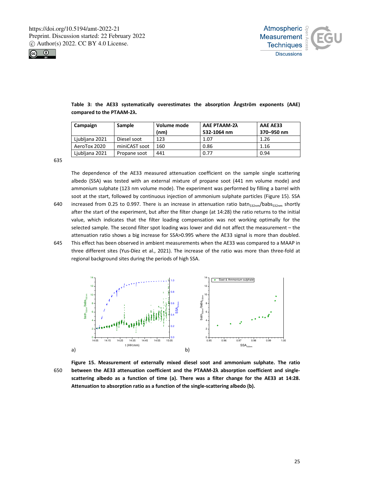



| Campaign       | Sample        | Volume mode<br>(nm) | <b>AAE PTAAM-2λ</b><br>532-1064 nm | AAE AE33<br>370-950 nm |
|----------------|---------------|---------------------|------------------------------------|------------------------|
| Ljubljana 2021 | Diesel soot   | 123                 | 1.07                               | 1.26                   |
| AeroTox 2020   | miniCAST soot | 160                 | 0.86                               | 1.16                   |
| Ljubljana 2021 | Propane soot  | 441                 | 0.77                               | 0.94                   |

**Table 3: the AE33 systematically overestimates the absorption Ångström exponents (AAE) compared to the PTAAM-2λ.** 

635

The dependence of the AE33 measured attenuation coefficient on the sample single scattering albedo (SSA) was tested with an external mixture of propane soot (441 nm volume mode) and ammonium sulphate (123 nm volume mode). The experiment was performed by filling a barrel with soot at the start, followed by continuous injection of ammonium sulphate particles (Figure 15). SSA 640 increased from 0.25 to 0.997. There is an increase in attenuation ratio batn<sub>532nm</sub>/babs<sub>532nm</sub> shortly after the start of the experiment, but after the filter change (at 14:28) the ratio returns to the initial value, which indicates that the filter loading compensation was not working optimally for the selected sample. The second filter spot loading was lower and did not affect the measurement – the attenuation ratio shows a big increase for SSA>0.995 where the AE33 signal is more than doubled. 645 This effect has been observed in ambient measurements when the AE33 was compared to a MAAP in three different sites (Yus-Díez et al., 2021). The increase of the ratio was more than three-fold at regional background sites during the periods of high SSA.



**Figure 15. Measurement of externally mixed diesel soot and ammonium sulphate. The ratio**  650 **between the AE33 attenuation coefficient and the PTAAM-2λ absorption coefficient and singlescattering albedo as a function of time (a). There was a filter change for the AE33 at 14:28. Attenuation to absorption ratio as a function of the single-scattering albedo (b).**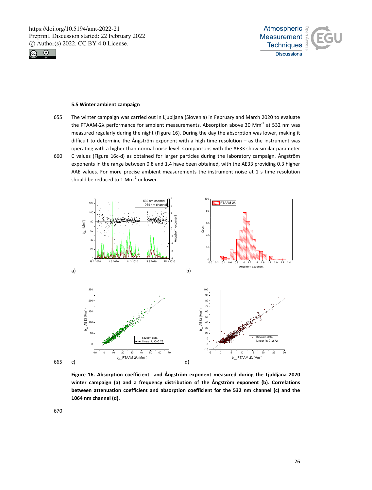



#### **5.5 Winter ambient campaign**

- 655 The winter campaign was carried out in Ljubljana (Slovenia) in February and March 2020 to evaluate the PTAAM-2λ performance for ambient measurements. Absorption above 30 Mm<sup>-1</sup> at 532 nm was measured regularly during the night (Figure 16). During the day the absorption was lower, making it difficult to determine the Ångström exponent with a high time resolution – as the instrument was operating with a higher than normal noise level. Comparisons with the AE33 show similar parameter 660 C values (Figure 16c-d) as obtained for larger particles during the laboratory campaign. Ångström
- exponents in the range between 0.8 and 1.4 have been obtained, with the AE33 providing 0.3 higher AAE values. For more precise ambient measurements the instrument noise at 1 s time resolution should be reduced to 1  $Mm^{-1}$  or lower.



**Figure 16. Absorption coefficient and Ångström exponent measured during the Ljubljana 2020 winter campaign (a) and a frequency distribution of the Ångström exponent (b). Correlations between attenuation coefficient and absorption coefficient for the 532 nm channel (c) and the 1064 nm channel (d).** 

670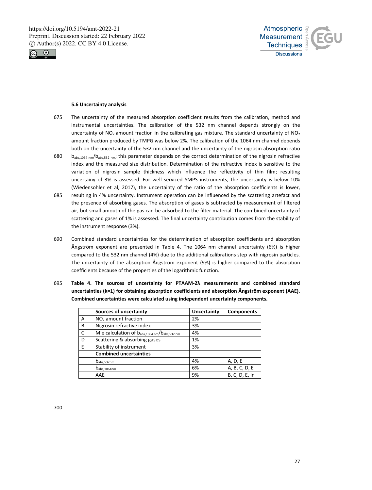



#### **5.6 Uncertainty analysis**

- 675 The uncertainty of the measured absorption coefficient results from the calibration, method and instrumental uncertainties. The calibration of the 532 nm channel depends strongly on the uncertainty of  $NO<sub>2</sub>$  amount fraction in the calibrating gas mixture. The standard uncertainty of  $NO<sub>2</sub>$ amount fraction produced by TMPG was below 2%. The calibration of the 1064 nm channel depends both on the uncertainty of the 532 nm channel and the uncertainty of the nigrosin absorption ratio
- 680  $b_{abs,1064\ nm}/b_{abs,532\ nm}$ ; this parameter depends on the correct determination of the nigrosin refractive index and the measured size distribution. Determination of the refractive index is sensitive to the variation of nigrosin sample thickness which influence the reflectivity of thin film; resulting uncertainy of 3% is assessed. For well serviced SMPS instruments, the uncertainty is below 10% (Wiedensohler et al, 2017), the uncertainty of the ratio of the absorption coefficients is lower,
- 685 resulting in 4% uncertainty. Instrument operation can be influenced by the scattering artefact and the presence of absorbing gases. The absorption of gases is subtracted by measurement of filtered air, but small amouth of the gas can be adsorbed to the filter material. The combined uncertainty of scattering and gases of 1% is assessed. The final uncertainty contribution comes from the stability of the instrument response (3%).
- 690 Combined standard uncertainties for the determination of absorption coefficients and absorption Ångström exponent are presented in Table 4. The 1064 nm channel uncertainty (6%) is higher compared to the 532 nm channel (4%) due to the additional calibrations step with nigrosin particles. The uncertainty of the absorption Ångström exponent (9%) is higher compared to the absorption coefficients because of the properties of the logarithmic function.
- 695 **Table 4. The sources of uncertainty for PTAAM-2λ measurements and combined standard uncertainties (k=1) for obtaining absorption coefficients and absorption Ångström exponent (AAE). Combined uncertainties were calculated using independent uncertainty components.**

|   | Sources of uncertainty                        | Uncertainty | <b>Components</b> |
|---|-----------------------------------------------|-------------|-------------------|
| А | NO <sub>2</sub> amount fraction               | 2%          |                   |
| B | Nigrosin refractive index                     | 3%          |                   |
| C | Mie calculation of babs, 1064 nm/babs, 532 nm | 4%          |                   |
| D | Scattering & absorbing gases                  | 1%          |                   |
| E | Stability of instrument                       | 3%          |                   |
|   | <b>Combined uncertainties</b>                 |             |                   |
|   | $D_{\rm abs,532nm}$                           | 4%          | A, D, E           |
|   | $D_{\rm abs, 1064nm}$                         | 6%          | A, B, C, D, E     |
|   | AAE                                           | 9%          | B, C, D, E, In    |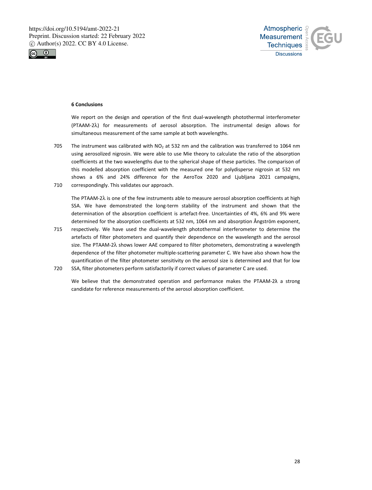



#### **6 Conclusions**

We report on the design and operation of the first dual-wavelength photothermal interferometer (PTAAM-2λ) for measurements of aerosol absorption. The instrumental design allows for simultaneous measurement of the same sample at both wavelengths.

705 The instrument was calibrated with  $NO<sub>2</sub>$  at 532 nm and the calibration was transferred to 1064 nm using aerosolized nigrosin. We were able to use Mie theory to calculate the ratio of the absorption coefficients at the two wavelengths due to the spherical shape of these particles. The comparison of this modelled absorption coefficient with the measured one for polydisperse nigrosin at 532 nm shows a 6% and 24% difference for the AeroTox 2020 and Ljubljana 2021 campaigns, 710 correspondingly. This validates our approach.

The PTAAM-2λ is one of the few instruments able to measure aerosol absorption coefficients at high SSA. We have demonstrated the long-term stability of the instrument and shown that the determination of the absorption coefficient is artefact-free. Uncertainties of 4%, 6% and 9% were determined for the absorption coefficients at 532 nm, 1064 nm and absorption Ångström exponent,

- 715 respectively. We have used the dual-wavelength photothermal interferometer to determine the artefacts of filter photometers and quantify their dependence on the wavelength and the aerosol size. The PTAAM-2λ shows lower AAE compared to filter photometers, demonstrating a wavelength dependence of the filter photometer multiple-scattering parameter C. We have also shown how the quantification of the filter photometer sensitivity on the aerosol size is determined and that for low 720 SSA, filter photometers perform satisfactorily if correct values of parameter C are used.
	- We believe that the demonstrated operation and performance makes the PTAAM-2λ a strong candidate for reference measurements of the aerosol absorption coefficient.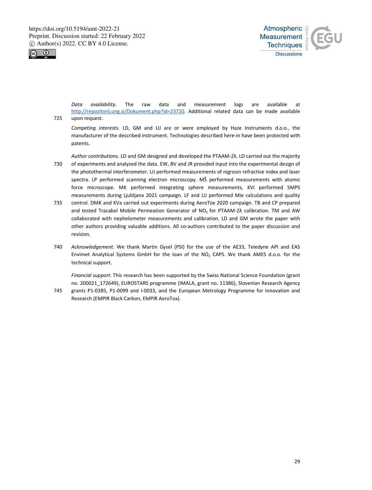



*Data availability.* The raw data and measurement logs are available at http://repozitorij.ung.si/Dokument.php?id=23720. Additional related data can be made available 725 upon request.

*Competing interests.* LD, GM and UJ are or were employed by Haze Instruments d.o.o., the manufacturer of the described instrument. Technologies described here-in have been protected with patents.

*Author contributions.* LD and GM designed and developed the PTAAM-2λ. LD carried out the majority 730 of experiments and analyzed the data. EW, BV and JR provided input into the experimental design of the photothermal interferometer. UJ performed measurements of nigrosin refractive index and laser spectra. LP performed scanning electron microscopy. MŠ performed measurements with atomic force microscope. MK performed integrating sphere measurements, KVi performed SMPS measurements during Ljubljana 2021 campaign. LF and UJ performed Mie calculations and quality

- 735 control. DMK and KVa carried out experiments during AeroTox 2020 campaign. TB and CP prepared and tested Tracabel Mobile Permeation Generator of NO<sub>2</sub> for PTAAM-2λ calibration. TM and AW collaborated with nephelometer measurements and calibration. LD and GM wrote the paper with other authors providing valuable additions. All co-authors contributed to the paper discussion and revision.
- 740 *Acknowledgement.* We thank Martin Gysel (PSI) for the use of the AE33, Teledyne API and EAS Envimet Analytical Systems GmbH for the loan of the  $NO<sub>2</sub>$  CAPS. We thank AMES d.o.o. for the technical support.

*Financial support*. This research has been supported by the Swiss National Science Foundation (grant no. 200021\_172649), EUROSTARS programme (IMALA, grant no. 11386), Slovenian Research Agency

745 grants P1-0385, P1-0099 and I-0033, and the European Metrology Programme for Innovation and Research (EMPIR Black Carbon, EMPIR AeroTox).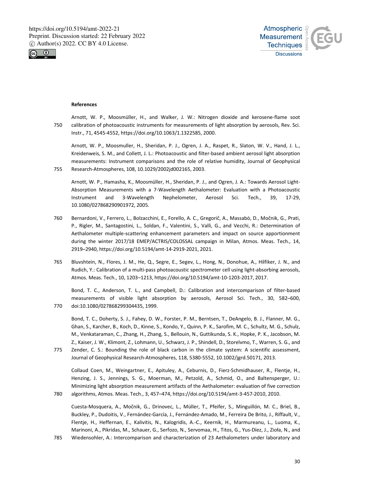



#### **References**

Arnott, W. P., Moosmüller, H., and Walker, J. W.: Nitrogen dioxide and kerosene-flame soot 750 calibration of photoacoustic instruments for measurements of light absorption by aerosols, Rev. Sci. Instr., 71, 4545-4552, https://doi.org/10.1063/1.1322585, 2000.

Arnott, W. P., Moosmuller, H., Sheridan, P. J., Ogren, J. A., Raspet, R., Slaton, W. V., Hand, J. L., Kreidenweis, S. M., and Collett, J. L.: Photoacoustic and filter-based ambient aerosol light absorption measurements: Instrument comparisons and the role of relative humidity, Journal of Geophysical 755 Research-Atmospheres, 108, 10.1029/2002jd002165, 2003.

Arnott, W. P., Hamasha, K., Moosmüller, H., Sheridan, P. J., and Ogren, J. A.: Towards Aerosol Light-Absorption Measurements with a 7-Wavelength Aethalometer: Evaluation with a Photoacoustic Instrument and 3-Wavelength Nephelometer, Aerosol Sci. Tech., 39, 17-29, 10.1080/027868290901972, 2005.

- 760 Bernardoni, V., Ferrero, L., Bolzacchini, E., Forello, A. C., Gregorič, A., Massabò, D., Močnik, G., Prati, P., Rigler, M., Santagostini, L., Soldan, F., Valentini, S., Valli, G., and Vecchi, R.: Determination of Aethalometer multiple-scattering enhancement parameters and impact on source apportionment during the winter 2017/18 EMEP/ACTRIS/COLOSSAL campaign in Milan, Atmos. Meas. Tech., 14, 2919–2940, https://doi.org/10.5194/amt-14-2919-2021, 2021.
- 765 Bluvshtein, N., Flores, J. M., He, Q., Segre, E., Segev, L., Hong, N., Donohue, A., Hilfiker, J. N., and Rudich, Y.: Calibration of a multi-pass photoacoustic spectrometer cell using light-absorbing aerosols, Atmos. Meas. Tech., 10, 1203–1213, https://doi.org/10.5194/amt-10-1203-2017, 2017.

Bond, T. C., Anderson, T. L., and Campbell, D.: Calibration and intercomparison of filter-based measurements of visible light absorption by aerosols, Aerosol Sci. Tech., 30, 582–600, 770 doi:10.1080/027868299304435, 1999.

Bond, T. C., Doherty, S. J., Fahey, D. W., Forster, P. M., Berntsen, T., DeAngelo, B. J., Flanner, M. G., Ghan, S., Karcher, B., Koch, D., Kinne, S., Kondo, Y., Quinn, P. K., Sarofim, M. C., Schultz, M. G., Schulz, M., Venkataraman, C., Zhang, H., Zhang, S., Bellouin, N., Guttikunda, S. K., Hopke, P. K., Jacobson, M. Z., Kaiser, J. W., Klimont, Z., Lohmann, U., Schwarz, J. P., Shindell, D., Storelvmo, T., Warren, S. G., and

775 Zender, C. S.: Bounding the role of black carbon in the climate system: A scientific assessment, Journal of Geophysical Research-Atmospheres, 118, 5380-5552, 10.1002/jgrd.50171, 2013.

Collaud Coen, M., Weingartner, E., Apituley, A., Ceburnis, D., Fierz-Schmidhauser, R., Flentje, H., Henzing, J. S., Jennings, S. G., Moerman, M., Petzold, A., Schmid, O., and Baltensperger, U.: Minimizing light absorption measurement artifacts of the Aethalometer: evaluation of five correction 780 algorithms, Atmos. Meas. Tech., 3, 457–474, https://doi.org/10.5194/amt-3-457-2010, 2010.

Cuesta-Mosquera, A., Močnik, G., Drinovec, L., Müller, T., Pfeifer, S., Minguillón, M. C., Briel, B., Buckley, P., Dudoitis, V., Fernández-García, J., Fernández-Amado, M., Ferreira De Brito, J., Riffault, V., Flentje, H., Heffernan, E., Kalivitis, N., Kalogridis, A.-C., Keernik, H., Marmureanu, L., Luoma, K., Marinoni, A., Pikridas, M., Schauer, G., Serfozo, N., Servomaa, H., Titos, G., Yus-Díez, J., Zioła, N., and

785 Wiedensohler, A.: Intercomparison and characterization of 23 Aethalometers under laboratory and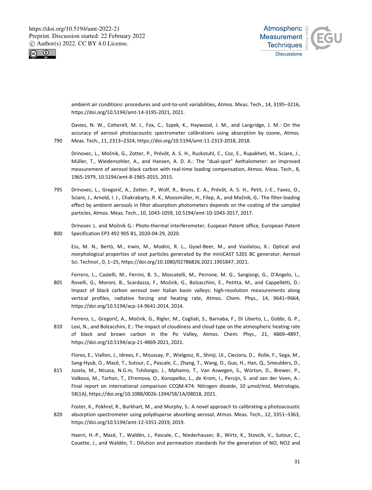



ambient air conditions: procedures and unit-to-unit variabilities, Atmos. Meas. Tech., 14, 3195–3216, https://doi.org/10.5194/amt-14-3195-2021, 2021.

Davies, N. W., Cotterell, M. I., Fox, C., Szpek, K., Haywood, J. M., and Langridge, J. M.: On the accuracy of aerosol photoacoustic spectrometer calibrations using absorption by ozone, Atmos. 790 Meas. Tech., 11, 2313–2324, https://doi.org/10.5194/amt-11-2313-2018, 2018.

Drinovec, L., Močnik, G., Zotter, P., Prévôt, A. S. H., Ruckstuhl, C., Coz, E., Rupakheti, M., Sciare, J., Müller, T., Wiedensohler, A., and Hansen, A. D. A.: The "dual-spot" Aethalometer: an improved measurement of aerosol black carbon with real-time loading compensation, Atmos. Meas. Tech., 8, 1965-1979, 10.5194/amt-8-1965-2015, 2015.

795 Drinovec, L., Gregorič, A., Zotter, P., Wolf, R., Bruns, E. A., Prévôt, A. S. H., Petit, J.-E., Favez, O., Sciare, J., Arnold, I. J., Chakrabarty, R. K., Moosmüller, H., Filep, A., and Močnik, G.: The filter-loading effect by ambient aerosols in filter absorption photometers depends on the coating of the sampled particles, Atmos. Meas. Tech., 10, 1043-1059, 10.5194/amt-10-1043-2017, 2017.

Drinovec L. and Močnik G.: Photo-thermal interferometer, Euopean Patent office, European Patent 800 Specification EP3 492 905 B1, 2020-04-29, 2020.

Ess, M. N., Bertò, M., Irwin, M., Modini, R. L., Gysel-Beer, M., and Vasilatou, K.: Optical and morphological properties of soot particles generated by the miniCAST 5201 BC generator, Aerosol Sci. Technol., 0, 1–25, https://doi.org/10.1080/02786826.2021.1901847, 2021.

- Ferrero, L., Castelli, M., Ferrini, B. S., Moscatelli, M., Perrone, M. G., Sangiorgi, G., D'Angelo, L., 805 Rovelli, G., Moroni, B., Scardazza, F., Močnik, G., Bolzacchini, E., Petitta, M., and Cappelletti, D.: Impact of black carbon aerosol over Italian basin valleys: high-resolution measurements along vertical profiles, radiative forcing and heating rate, Atmos. Chem. Phys., 14, 9641–9664, https://doi.org/10.5194/acp-14-9641-2014, 2014.
- Ferrero, L., Gregorič, A., Močnik, G., Rigler, M., Cogliati, S., Barnaba, F., Di Liberto, L., Gobbi, G. P., 810 Losi, N., and Bolzacchini, E.: The impact of cloudiness and cloud type on the atmospheric heating rate of black and brown carbon in the Po Valley, Atmos. Chem. Phys., 21, 4869–4897, https://doi.org/10.5194/acp-21-4869-2021, 2021.

Flores, E., Viallon, J., Idrees, F., Moussay, P., Wielgosz, R., Shinji, UI., Cieciora, D., Rolle, F., Sega, M., Sang-Hyub, O., Macé, T., Sutour, C., Pascale, C., Zhang, T., Wang, D., Guo, H., Han, Q., Smeulders, D.,

- 815 Jozela, M., Ntsasa, N.G.m, Tshilongo, J., Mphamo, T., Van Aswegen, S., Worton, D., Brewer, P., Valkova, M., Tarhan, T., Efremova, O., Konopelko, L., de Krom, I., Persijn, S. and van der Veen, A.: Final report on international comparison CCQM-K74: Nitrogen dioxide, 10 µmol/mol, Metrologia, 58(1A), https://doi.org/10.1088/0026-1394/58/1A/08018, 2021.
- Foster, K., Pokhrel, R., Burkhart, M., and Murphy, S.: A novel approach to calibrating a photoacoustic 820 absorption spectrometer using polydisperse absorbing aerosol, Atmos. Meas. Tech., 12, 3351–3363, https://doi.org/10.5194/amt-12-3351-2019, 2019.

Haerri, H.-P., Macé, T., Waldén, J., Pascale, C., Niederhauser, B., Wirtz, K., Stovcik, V., Sutour, C., Couette, J., and Waldén, T.: Dilution and permeation standards for the generation of NO, NO2 and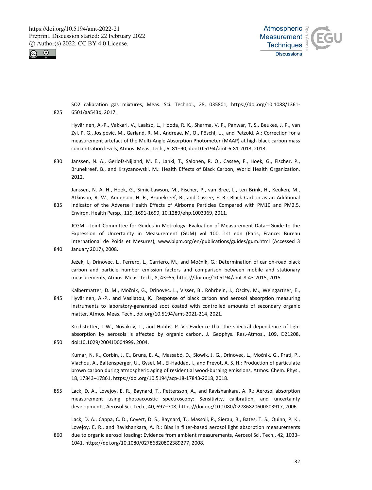



SO2 calibration gas mixtures, Meas. Sci. Technol., 28, 035801, https://doi.org/10.1088/1361- 825 6501/aa543d, 2017.

Hyvärinen, A.-P., Vakkari, V., Laakso, L., Hooda, R. K., Sharma, V. P., Panwar, T. S., Beukes, J. P., van Zyl, P. G., Josipovic, M., Garland, R. M., Andreae, M. O., Pöschl, U., and Petzold, A.: Correction for a measurement artefact of the Multi-Angle Absorption Photometer (MAAP) at high black carbon mass concentration levels, Atmos. Meas. Tech., 6, 81–90, doi:10.5194/amt-6-81-2013, 2013.

830 Janssen, N. A., Gerlofs-Nijland, M. E., Lanki, T., Salonen, R. O., Cassee, F., Hoek, G., Fischer, P., Brunekreef, B., and Krzyzanowski, M.: Health Effects of Black Carbon, World Health Organization, 2012.

Janssen, N. A. H., Hoek, G., Simic-Lawson, M., Fischer, P., van Bree, L., ten Brink, H., Keuken, M., Atkinson, R. W., Anderson, H. R., Brunekreef, B., and Cassee, F. R.: Black Carbon as an Additional 835 Indicator of the Adverse Health Effects of Airborne Particles Compared with PM10 and PM2.5, Environ. Health Persp., 119, 1691-1699, 10.1289/ehp.1003369, 2011.

JCGM - Joint Committee for Guides in Metrology: Evaluation of Measurement Data—Guide to the Expression of Uncertainty in Measurement (GUM) vol 100, 1st edn (Paris, France: Bureau International de Poids et Mesures), www.bipm.org/en/publications/guides/gum.html (Accessed 3 840 January 2017), 2008.

Ježek, I., Drinovec, L., Ferrero, L., Carriero, M., and Močnik, G.: Determination of car on-road black carbon and particle number emission factors and comparison between mobile and stationary measurements, Atmos. Meas. Tech., 8, 43–55, https://doi.org/10.5194/amt-8-43-2015, 2015.

Kalbermatter, D. M., Močnik, G., Drinovec, L., Visser, B., Röhrbein, J., Oscity, M., Weingartner, E., 845 Hyvärinen, A.-P., and Vasilatou, K.: Response of black carbon and aerosol absorption measuring instruments to laboratory-generated soot coated with controlled amounts of secondary organic matter, Atmos. Meas. Tech., doi.org/10.5194/amt-2021-214, 2021.

Kirchstetter, T.W., Novakov, T., and Hobbs, P. V.: Evidence that the spectral dependence of light absorption by aerosols is affected by organic carbon, J. Geophys. Res.-Atmos., 109, D21208, 850 doi:10.1029/2004JD004999, 2004.

Kumar, N. K., Corbin, J. C., Bruns, E. A., Massabó, D., Slowik, J. G., Drinovec, L., Močnik, G., Prati, P., Vlachou, A., Baltensperger, U., Gysel, M., El-Haddad, I., and Prévôt, A. S. H.: Production of particulate brown carbon during atmospheric aging of residential wood-burning emissions, Atmos. Chem. Phys., 18, 17843–17861, https://doi.org/10.5194/acp-18-17843-2018, 2018.

855 Lack, D. A., Lovejoy, E. R., Baynard, T., Pettersson, A., and Ravishankara, A. R.: Aerosol absorption measurement using photoacoustic spectroscopy: Sensitivity, calibration, and uncertainty developments, Aerosol Sci. Tech., 40, 697–708, https://doi.org/10.1080/02786820600803917, 2006.

Lack, D. A., Cappa, C. D., Covert, D. S., Baynard, T., Massoli, P., Sierau, B., Bates, T. S., Quinn, P. K., Lovejoy, E. R., and Ravishankara, A. R.: Bias in filter-based aerosol light absorption measurements 860 due to organic aerosol loading: Evidence from ambient measurements, Aerosol Sci. Tech., 42, 1033– 1041, https://doi.org/10.1080/02786820802389277, 2008.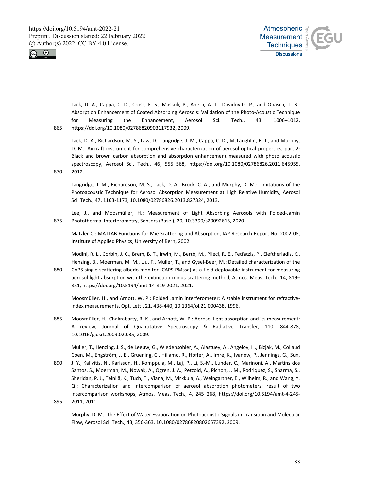



Lack, D. A., Cappa, C. D., Cross, E. S., Massoli, P., Ahern, A. T., Davidovits, P., and Onasch, T. B.: Absorption Enhancement of Coated Absorbing Aerosols: Validation of the Photo-Acoustic Technique for Measuring the Enhancement, Aerosol Sci. Tech., 43, 1006–1012, 865 https://doi.org/10.1080/02786820903117932, 2009.

Lack, D. A., Richardson, M. S., Law, D., Langridge, J. M., Cappa, C. D., McLaughlin, R. J., and Murphy, D. M.: Aircraft instrument for comprehensive characterization of aerosol optical properties, part 2: Black and brown carbon absorption and absorption enhancement measured with photo acoustic spectroscopy, Aerosol Sci. Tech., 46, 555–568, https://doi.org/10.1080/02786826.2011.645955, 870 2012.

Langridge, J. M., Richardson, M. S., Lack, D. A., Brock, C. A., and Murphy, D. M.: Limitations of the Photoacoustic Technique for Aerosol Absorption Measurement at High Relative Humidity, Aerosol Sci. Tech., 47, 1163-1173, 10.1080/02786826.2013.827324, 2013.

Lee, J., and Moosmüller, H.: Measurement of Light Absorbing Aerosols with Folded-Jamin 875 Photothermal Interferometry, Sensors (Basel), 20, 10.3390/s20092615, 2020.

Mätzler C.: MATLAB Functions for Mie Scattering and Absorption, IAP Research Report No. 2002-08, Institute of Applied Physics, University of Bern, 2002

Modini, R. L., Corbin, J. C., Brem, B. T., Irwin, M., Bertò, M., Pileci, R. E., Fetfatzis, P., Eleftheriadis, K., Henzing, B., Moerman, M. M., Liu, F., Müller, T., and Gysel-Beer, M.: Detailed characterization of the

880 CAPS single-scattering albedo monitor (CAPS PMssa) as a field-deployable instrument for measuring aerosol light absorption with the extinction-minus-scattering method, Atmos. Meas. Tech., 14, 819– 851, https://doi.org/10.5194/amt-14-819-2021, 2021.

Moosmüller, H., and Arnott, W. P.: Folded Jamin interferometer: A stable instrument for refractiveindex measurements, Opt. Lett., 21, 438-440, 10.1364/ol.21.000438, 1996.

885 Moosmüller, H., Chakrabarty, R. K., and Arnott, W. P.: Aerosol light absorption and its measurement: A review, Journal of Quantitative Spectroscopy & Radiative Transfer, 110, 844-878, 10.1016/j.jqsrt.2009.02.035, 2009.

Müller, T., Henzing, J. S., de Leeuw, G., Wiedensohler, A., Alastuey, A., Angelov, H., Bizjak, M., Collaud Coen, M., Engström, J. E., Gruening, C., Hillamo, R., Hoffer, A., Imre, K., Ivanow, P., Jennings, G., Sun,

890 J. Y., Kalivitis, N., Karlsson, H., Komppula, M., Laj, P., Li, S.-M., Lunder, C., Marinoni, A., Martins dos Santos, S., Moerman, M., Nowak, A., Ogren, J. A., Petzold, A., Pichon, J. M., Rodriquez, S., Sharma, S., Sheridan, P. J., Teinilä, K., Tuch, T., Viana, M., Virkkula, A., Weingartner, E., Wilhelm, R., and Wang, Y. Q.: Characterization and intercomparison of aerosol absorption photometers: result of two intercomparison workshops, Atmos. Meas. Tech., 4, 245–268, https://doi.org/10.5194/amt-4-245- 895 2011, 2011.

Murphy, D. M.: The Effect of Water Evaporation on Photoacoustic Signals in Transition and Molecular Flow, Aerosol Sci. Tech., 43, 356-363, 10.1080/02786820802657392, 2009.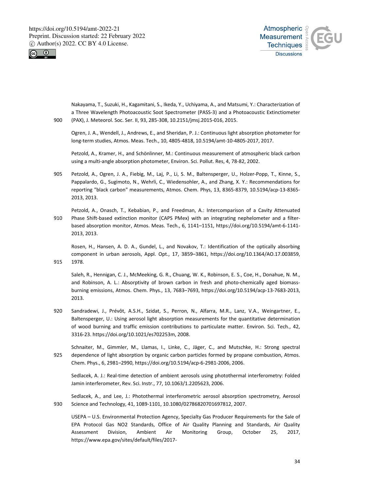



Nakayama, T., Suzuki, H., Kagamitani, S., Ikeda, Y., Uchiyama, A., and Matsumi, Y.: Characterization of a Three Wavelength Photoacoustic Soot Spectrometer (PASS-3) and a Photoacoustic Extinctiometer 900 (PAX), J. Meteorol. Soc. Ser. II, 93, 285-308, 10.2151/jmsj.2015-016, 2015.

Ogren, J. A., Wendell, J., Andrews, E., and Sheridan, P. J.: Continuous light absorption photometer for long-term studies, Atmos. Meas. Tech., 10, 4805-4818, 10.5194/amt-10-4805-2017, 2017.

Petzold, A., Kramer, H., and Schönlinner, M.: Continuous measurement of atmospheric black carbon using a multi-angle absorption photometer, Environ. Sci. Pollut. Res, 4, 78-82, 2002.

905 Petzold, A., Ogren, J. A., Fiebig, M., Laj, P., Li, S. M., Baltensperger, U., Holzer-Popp, T., Kinne, S., Pappalardo, G., Sugimoto, N., Wehrli, C., Wiedensohler, A., and Zhang, X. Y.: Recommendations for reporting "black carbon" measurements, Atmos. Chem. Phys, 13, 8365-8379, 10.5194/acp-13-8365- 2013, 2013.

Petzold, A., Onasch, T., Kebabian, P., and Freedman, A.: Intercomparison of a Cavity Attenuated 910 Phase Shift-based extinction monitor (CAPS PMex) with an integrating nephelometer and a filterbased absorption monitor, Atmos. Meas. Tech., 6, 1141–1151, https://doi.org/10.5194/amt-6-1141- 2013, 2013.

Rosen, H., Hansen, A. D. A., Gundel, L., and Novakov, T.: Identification of the optically absorbing component in urban aerosols, Appl. Opt., 17, 3859–3861, https://doi.org/10.1364/AO.17.003859, 915 1978.

Saleh, R., Hennigan, C. J., McMeeking, G. R., Chuang, W. K., Robinson, E. S., Coe, H., Donahue, N. M., and Robinson, A. L.: Absorptivity of brown carbon in fresh and photo-chemically aged biomassburning emissions, Atmos. Chem. Phys., 13, 7683–7693, https://doi.org/10.5194/acp-13-7683-2013, 2013.

- 920 Sandradewi, J., Prévôt, A.S.H., Szidat, S., Perron, N., Alfarra, M.R., Lanz, V.A., Weingartner, E., Baltensperger, U.: Using aerosol light absorption measurements for the quantitative determination of wood burning and traffic emission contributions to particulate matter. Environ. Sci. Tech., 42, 3316-23. https://doi.org/10.1021/es702253m, 2008.
- Schnaiter, M., Gimmler, M., Llamas, I., Linke, C., Jäger, C., and Mutschke, H.: Strong spectral 925 dependence of light absorption by organic carbon particles formed by propane combustion, Atmos. Chem. Phys., 6, 2981–2990, https://doi.org/10.5194/acp-6-2981-2006, 2006.

Sedlacek, A. J.: Real-time detection of ambient aerosols using photothermal interferometry: Folded Jamin interferometer, Rev. Sci. Instr., 77, 10.1063/1.2205623, 2006.

Sedlacek, A., and Lee, J.: Photothermal interferometric aerosol absorption spectrometry, Aerosol 930 Science and Technology, 41, 1089-1101, 10.1080/02786820701697812, 2007.

USEPA – U.S. Environmental Protection Agency, Specialty Gas Producer Requirements for the Sale of EPA Protocol Gas NO2 Standards, Office of Air Quality Planning and Standards, Air Quality Assessment Division, Ambient Air Monitoring Group, October 25, 2017, https://www.epa.gov/sites/default/files/2017-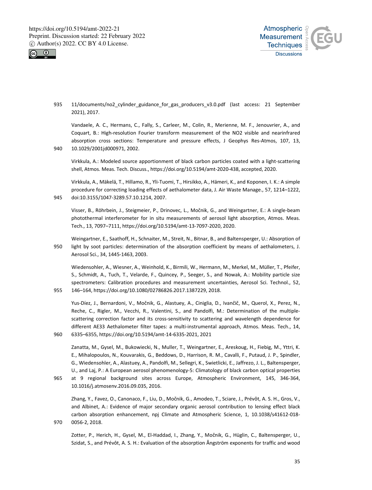



935 11/documents/no2 cylinder guidance for gas producers v3.0.pdf (last access: 21 September 2021), 2017.

Vandaele, A. C., Hermans, C., Fally, S., Carleer, M., Colin, R., Merienne, M. F., Jenouvrier, A., and Coquart, B.: High-resolution Fourier transform measurement of the NO2 visible and nearinfrared absorption cross sections: Temperature and pressure effects, J Geophys Res-Atmos, 107, 13, 940 10.1029/2001jd000971, 2002.

Virkkula, A.: Modeled source apportionment of black carbon particles coated with a light-scattering shell, Atmos. Meas. Tech. Discuss., https://doi.org/10.5194/amt-2020-438, accepted, 2020.

Virkkula, A., Mäkelä, T., Hillamo, R., Yli-Tuomi, T., Hirsikko, A., Hämeri, K., and Koponen, I. K.: A simple procedure for correcting loading effects of aethalometer data, J. Air Waste Manage., 57, 1214–1222, 945 doi:10.3155/1047-3289.57.10.1214, 2007.

Visser, B., Röhrbein, J., Steigmeier, P., Drinovec, L., Močnik, G., and Weingartner, E.: A single-beam photothermal interferometer for in situ measurements of aerosol light absorption, Atmos. Meas. Tech., 13, 7097–7111, https://doi.org/10.5194/amt-13-7097-2020, 2020.

Weingartner, E., Saathoff, H., Schnaiter, M., Streit, N., Bitnar, B., and Baltensperger, U.: Absorption of 950 light by soot particles: determination of the absorption coefficient by means of aethalometers, J. Aerosol Sci., 34, 1445-1463, 2003.

Wiedensohler, A., Wiesner, A., Weinhold, K., Birmili, W., Hermann, M., Merkel, M., Müller, T., Pfeifer, S., Schmidt, A., Tuch, T., Velarde, F., Quincey, P., Seeger, S., and Nowak, A.: Mobility particle size spectrometers: Calibration procedures and measurement uncertainties, Aerosol Sci. Technol., 52, 955 146–164, https://doi.org/10.1080/02786826.2017.1387229, 2018.

Yus-Díez, J., Bernardoni, V., Močnik, G., Alastuey, A., Ciniglia, D., Ivančič, M., Querol, X., Perez, N., Reche, C., Rigler, M., Vecchi, R., Valentini, S., and Pandolfi, M.: Determination of the multiplescattering correction factor and its cross-sensitivity to scattering and wavelength dependence for different AE33 Aethalometer filter tapes: a multi-instrumental approach, Atmos. Meas. Tech., 14, 960 6335–6355, https://doi.org/10.5194/amt-14-6335-2021, 2021

Zanatta, M., Gysel, M., Bukowiecki, N., Muller, T., Weingartner, E., Areskoug, H., Fiebig, M., Yttri, K. E., Mihalopoulos, N., Kouvarakis, G., Beddows, D., Harrison, R. M., Cavalli, F., Putaud, J. P., Spindler, G., Wiedensohler, A., Alastuey, A., Pandolfi, M., Sellegri, K., Swietlicki, E., Jaffrezo, J. L., Baltensperger, U., and Laj, P.: A European aerosol phenomenology-5: Climatology of black carbon optical properties 965 at 9 regional background sites across Europe, Atmospheric Environment, 145, 346-364,

10.1016/j.atmosenv.2016.09.035, 2016.

Zhang, Y., Favez, O., Canonaco, F., Liu, D., Močnik, G., Amodeo, T., Sciare, J., Prévôt, A. S. H., Gros, V., and Albinet, A.: Evidence of major secondary organic aerosol contribution to lensing effect black carbon absorption enhancement, npj Climate and Atmospheric Science, 1, 10.1038/s41612-018- 970 0056-2, 2018.

Zotter, P., Herich, H., Gysel, M., El-Haddad, I., Zhang, Y., Močnik, G., Hüglin, C., Baltensperger, U., Szidat, S., and Prévôt, A. S. H.: Evaluation of the absorption Ångström exponents for traffic and wood